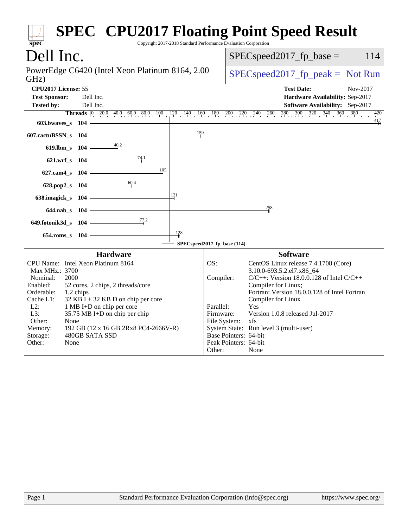| spec <sup>®</sup>                                                                                                                                     |                                                                                                                                                                                                                                                                         | Copyright 2017-2018 Standard Performance Evaluation Corporation | <b>SPEC<sup>®</sup> CPU2017 Floating Point Speed Result</b>                                                                                                                                                                                                                                                                                                                                          |
|-------------------------------------------------------------------------------------------------------------------------------------------------------|-------------------------------------------------------------------------------------------------------------------------------------------------------------------------------------------------------------------------------------------------------------------------|-----------------------------------------------------------------|------------------------------------------------------------------------------------------------------------------------------------------------------------------------------------------------------------------------------------------------------------------------------------------------------------------------------------------------------------------------------------------------------|
| Dell Inc.                                                                                                                                             |                                                                                                                                                                                                                                                                         | 114<br>$SPEC speed2017_fp\_base =$                              |                                                                                                                                                                                                                                                                                                                                                                                                      |
| GHz)                                                                                                                                                  | PowerEdge C6420 (Intel Xeon Platinum 8164, 2.00)                                                                                                                                                                                                                        | $SPEC speed2017_fp\_peak = Not Run$                             |                                                                                                                                                                                                                                                                                                                                                                                                      |
| CPU2017 License: 55<br><b>Test Sponsor:</b><br><b>Tested by:</b><br>603.bwaves_s 104                                                                  | Dell Inc.<br>Dell Inc.                                                                                                                                                                                                                                                  | 159                                                             | <b>Test Date:</b><br>Nov-2017<br>Hardware Availability: Sep-2017<br>Software Availability: Sep-2017<br><b>Threads</b> 0 200 400 600 800 100 120 140 160 180 200 220 240 260 280 300 320 340 360<br>$\frac{380}{1}$<br>420<br>$\frac{417}{4}$                                                                                                                                                         |
| 607.cactuBSSN_s 104<br>619.lbm_s 104<br>621.wrf_s 104<br>627.cam4_s 104                                                                               | $\frac{40.2}{4}$<br>$\frac{74.1}{5}$<br>105                                                                                                                                                                                                                             |                                                                 |                                                                                                                                                                                                                                                                                                                                                                                                      |
| 628.pop2_s<br>638.imagick_s 104<br>644.nab_s 104<br>649.fotonik3d_s 104                                                                               | 60.4<br>104<br>77.2                                                                                                                                                                                                                                                     | 121<br>128                                                      | 258                                                                                                                                                                                                                                                                                                                                                                                                  |
| $654$ .roms_s                                                                                                                                         | 104                                                                                                                                                                                                                                                                     | SPECspeed2017_fp_base (114)                                     |                                                                                                                                                                                                                                                                                                                                                                                                      |
| Max MHz.: 3700<br>Nominal:<br>2000<br>Enabled:<br>Orderable:<br>Cache L1:<br>$L2$ :<br>L3:<br>Other:<br>None<br>Memory:<br>Storage:<br>Other:<br>None | <b>Hardware</b><br>CPU Name: Intel Xeon Platinum 8164<br>52 cores, 2 chips, 2 threads/core<br>1,2 chips<br>$32$ KB I + 32 KB D on chip per core<br>1 MB I+D on chip per core<br>35.75 MB I+D on chip per chip<br>192 GB (12 x 16 GB 2Rx8 PC4-2666V-R)<br>480GB SATA SSD | OS:<br>Compiler:<br>Parallel:<br>Firmware:<br>Other:            | <b>Software</b><br>CentOS Linux release 7.4.1708 (Core)<br>3.10.0-693.5.2.el7.x86_64<br>$C/C++$ : Version 18.0.0.128 of Intel $C/C++$<br>Compiler for Linux;<br>Fortran: Version 18.0.0.128 of Intel Fortran<br>Compiler for Linux<br>Yes<br>Version 1.0.8 released Jul-2017<br>File System: xfs<br>System State: Run level 3 (multi-user)<br>Base Pointers: 64-bit<br>Peak Pointers: 64-bit<br>None |
|                                                                                                                                                       |                                                                                                                                                                                                                                                                         |                                                                 |                                                                                                                                                                                                                                                                                                                                                                                                      |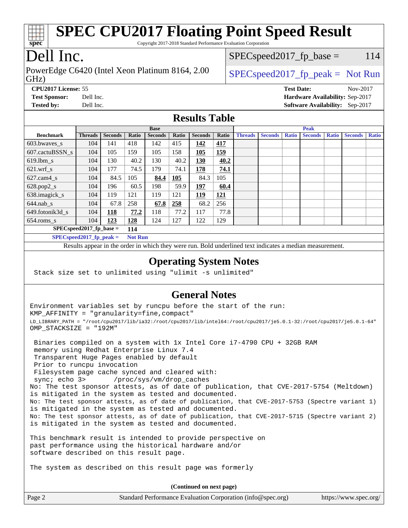

Copyright 2017-2018 Standard Performance Evaluation Corporation

## Dell Inc.

GHz) PowerEdge C6420 (Intel Xeon Platinum 8164, 2.00  $\big|$  [SPECspeed2017\\_fp\\_peak =](http://www.spec.org/auto/cpu2017/Docs/result-fields.html#SPECspeed2017fppeak) Not Run

 $SPEC speed2017_fp\_base = 114$ 

**[Test Sponsor:](http://www.spec.org/auto/cpu2017/Docs/result-fields.html#TestSponsor)** Dell Inc. **[Hardware Availability:](http://www.spec.org/auto/cpu2017/Docs/result-fields.html#HardwareAvailability)** Sep-2017

**[Tested by:](http://www.spec.org/auto/cpu2017/Docs/result-fields.html#Testedby)** Dell Inc. **[Software Availability:](http://www.spec.org/auto/cpu2017/Docs/result-fields.html#SoftwareAvailability)** Sep-2017

**[CPU2017 License:](http://www.spec.org/auto/cpu2017/Docs/result-fields.html#CPU2017License)** 55 **[Test Date:](http://www.spec.org/auto/cpu2017/Docs/result-fields.html#TestDate)** Nov-2017

**[Results Table](http://www.spec.org/auto/cpu2017/Docs/result-fields.html#ResultsTable)**

|                                   | <b>Base</b>    |                |       |                | <b>Peak</b> |                |            |                |                |              |                |              |                |              |
|-----------------------------------|----------------|----------------|-------|----------------|-------------|----------------|------------|----------------|----------------|--------------|----------------|--------------|----------------|--------------|
| <b>Benchmark</b>                  | <b>Threads</b> | <b>Seconds</b> | Ratio | <b>Seconds</b> | Ratio       | <b>Seconds</b> | Ratio      | <b>Threads</b> | <b>Seconds</b> | <b>Ratio</b> | <b>Seconds</b> | <b>Ratio</b> | <b>Seconds</b> | <b>Ratio</b> |
| 603.bwayes s                      | 104            | 141            | 418   | 142            | 415         | 142            | 417        |                |                |              |                |              |                |              |
| 607.cactuBSSN s                   | 104            | 105            | 159   | 105            | 158         | 105            | <u>159</u> |                |                |              |                |              |                |              |
| $619.$ lbm s                      | 104            | 130            | 40.2  | 130            | 40.2        | <b>130</b>     | 40.2       |                |                |              |                |              |                |              |
| $621.wrf$ s                       | 104            | 177            | 74.5  | 179            | 74.1        | 178            | 74.1       |                |                |              |                |              |                |              |
| $627$ .cam $4$ <sub>s</sub>       | 104            | 84.5           | 105   | 84.4           | 105         | 84.3           | 105        |                |                |              |                |              |                |              |
| $628.pop2_s$                      | 104            | 196            | 60.5  | 198            | 59.9        | 197            | 60.4       |                |                |              |                |              |                |              |
| 638.imagick_s                     | 104            | 119            | 121   | 119            | 121         | 119            | <u>121</u> |                |                |              |                |              |                |              |
| $644$ .nab s                      | 104            | 67.8           | 258   | 67.8           | 258         | 68.2           | 256        |                |                |              |                |              |                |              |
| 649.fotonik3d s                   | 104            | <u>118</u>     | 77.2  | 118            | 77.2        | 117            | 77.8       |                |                |              |                |              |                |              |
| $654$ .roms s                     | 104            | 123            | 128   | 124            | 127         | 122            | 129        |                |                |              |                |              |                |              |
| $SPEC speed2017$ fp base =<br>114 |                |                |       |                |             |                |            |                |                |              |                |              |                |              |
| $SPECspeed2017_fp\_peak =$        |                | <b>Not Run</b> |       |                |             |                |            |                |                |              |                |              |                |              |

Results appear in the [order in which they were run.](http://www.spec.org/auto/cpu2017/Docs/result-fields.html#RunOrder) Bold underlined text [indicates a median measurement](http://www.spec.org/auto/cpu2017/Docs/result-fields.html#Median).

### **[Operating System Notes](http://www.spec.org/auto/cpu2017/Docs/result-fields.html#OperatingSystemNotes)**

Stack size set to unlimited using "ulimit -s unlimited"

### **[General Notes](http://www.spec.org/auto/cpu2017/Docs/result-fields.html#GeneralNotes)**

Environment variables set by runcpu before the start of the run: KMP\_AFFINITY = "granularity=fine,compact" LD\_LIBRARY\_PATH = "/root/cpu2017/lib/ia32:/root/cpu2017/lib/intel64:/root/cpu2017/je5.0.1-32:/root/cpu2017/je5.0.1-64" OMP\_STACKSIZE = "192M"

 Binaries compiled on a system with 1x Intel Core i7-4790 CPU + 32GB RAM memory using Redhat Enterprise Linux 7.4 Transparent Huge Pages enabled by default Prior to runcpu invocation Filesystem page cache synced and cleared with: sync; echo 3> /proc/sys/vm/drop\_caches No: The test sponsor attests, as of date of publication, that CVE-2017-5754 (Meltdown) is mitigated in the system as tested and documented. No: The test sponsor attests, as of date of publication, that CVE-2017-5753 (Spectre variant 1) is mitigated in the system as tested and documented. No: The test sponsor attests, as of date of publication, that CVE-2017-5715 (Spectre variant 2) is mitigated in the system as tested and documented.

This benchmark result is intended to provide perspective on past performance using the historical hardware and/or software described on this result page.

The system as described on this result page was formerly

**(Continued on next page)**

| Page 2<br>Standard Performance Evaluation Corporation (info@spec.org) | https://www.spec.org/ |
|-----------------------------------------------------------------------|-----------------------|
|-----------------------------------------------------------------------|-----------------------|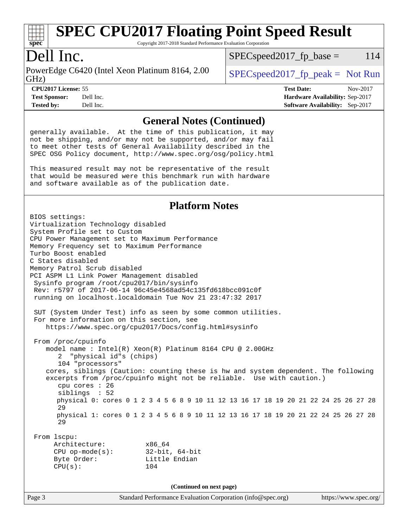

Copyright 2017-2018 Standard Performance Evaluation Corporation

## Dell Inc.

GHz) PowerEdge C6420 (Intel Xeon Platinum 8164, 2.00  $\big|$  [SPECspeed2017\\_fp\\_peak =](http://www.spec.org/auto/cpu2017/Docs/result-fields.html#SPECspeed2017fppeak) Not Run

 $SPEC speed2017<sub>fp</sub> base =  $114$$ 

**[Tested by:](http://www.spec.org/auto/cpu2017/Docs/result-fields.html#Testedby)** Dell Inc. **[Software Availability:](http://www.spec.org/auto/cpu2017/Docs/result-fields.html#SoftwareAvailability)** Sep-2017

**[CPU2017 License:](http://www.spec.org/auto/cpu2017/Docs/result-fields.html#CPU2017License)** 55 **[Test Date:](http://www.spec.org/auto/cpu2017/Docs/result-fields.html#TestDate)** Nov-2017 **[Test Sponsor:](http://www.spec.org/auto/cpu2017/Docs/result-fields.html#TestSponsor)** Dell Inc. **[Hardware Availability:](http://www.spec.org/auto/cpu2017/Docs/result-fields.html#HardwareAvailability)** Sep-2017

### **[General Notes \(Continued\)](http://www.spec.org/auto/cpu2017/Docs/result-fields.html#GeneralNotes)**

generally available. At the time of this publication, it may not be shipping, and/or may not be supported, and/or may fail to meet other tests of General Availability described in the SPEC OSG Policy document, <http://www.spec.org/osg/policy.html>

This measured result may not be representative of the result that would be measured were this benchmark run with hardware and software available as of the publication date.

### **[Platform Notes](http://www.spec.org/auto/cpu2017/Docs/result-fields.html#PlatformNotes)**

BIOS settings: Virtualization Technology disabled System Profile set to Custom CPU Power Management set to Maximum Performance Memory Frequency set to Maximum Performance Turbo Boost enabled C States disabled Memory Patrol Scrub disabled PCI ASPM L1 Link Power Management disabled Sysinfo program /root/cpu2017/bin/sysinfo Rev: r5797 of 2017-06-14 96c45e4568ad54c135fd618bcc091c0f running on localhost.localdomain Tue Nov 21 23:47:32 2017 SUT (System Under Test) info as seen by some common utilities. For more information on this section, see <https://www.spec.org/cpu2017/Docs/config.html#sysinfo> From /proc/cpuinfo model name : Intel(R) Xeon(R) Platinum 8164 CPU @ 2.00GHz 2 "physical id"s (chips) 104 "processors" cores, siblings (Caution: counting these is hw and system dependent. The following excerpts from /proc/cpuinfo might not be reliable. Use with caution.) cpu cores : 26 siblings : 52 physical 0: cores 0 1 2 3 4 5 6 8 9 10 11 12 13 16 17 18 19 20 21 22 24 25 26 27 28 29 physical 1: cores 0 1 2 3 4 5 6 8 9 10 11 12 13 16 17 18 19 20 21 22 24 25 26 27 28 29 From lscpu: Architecture: x86\_64 CPU op-mode(s): 32-bit, 64-bit Byte Order: Little Endian CPU(s): 104 **(Continued on next page)**

Page 3 Standard Performance Evaluation Corporation [\(info@spec.org\)](mailto:info@spec.org) <https://www.spec.org/>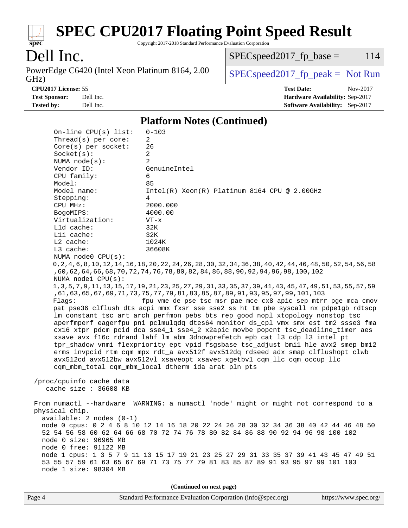

Copyright 2017-2018 Standard Performance Evaluation Corporation

## Dell Inc.

GHz) PowerEdge C6420 (Intel Xeon Platinum 8164, 2.00  $\big|$  [SPECspeed2017\\_fp\\_peak =](http://www.spec.org/auto/cpu2017/Docs/result-fields.html#SPECspeed2017fppeak) Not Run

 $SPEC speed2017<sub>fp</sub> base =  $114$$ 

**[Tested by:](http://www.spec.org/auto/cpu2017/Docs/result-fields.html#Testedby)** Dell Inc. **[Software Availability:](http://www.spec.org/auto/cpu2017/Docs/result-fields.html#SoftwareAvailability)** Sep-2017

**[CPU2017 License:](http://www.spec.org/auto/cpu2017/Docs/result-fields.html#CPU2017License)** 55 **[Test Date:](http://www.spec.org/auto/cpu2017/Docs/result-fields.html#TestDate)** Nov-2017 **[Test Sponsor:](http://www.spec.org/auto/cpu2017/Docs/result-fields.html#TestSponsor)** Dell Inc. **[Hardware Availability:](http://www.spec.org/auto/cpu2017/Docs/result-fields.html#HardwareAvailability)** Sep-2017

### **[Platform Notes \(Continued\)](http://www.spec.org/auto/cpu2017/Docs/result-fields.html#PlatformNotes)**

 On-line CPU(s) list: 0-103 Thread(s) per core: 2 Core(s) per socket: 26  $Socket(s):$  2 NUMA node(s): 2 Vendor ID: GenuineIntel CPU family: 6 Model: 85<br>Model name: 1n Intel(R) Xeon(R) Platinum 8164 CPU @ 2.00GHz Stepping: 4 CPU MHz: 2000.000 BogoMIPS: 4000.00 Virtualization: VT-x L1d cache: 32K L1i cache: 32K L2 cache: 1024K L3 cache: 36608K NUMA node0 CPU(s): 0,2,4,6,8,10,12,14,16,18,20,22,24,26,28,30,32,34,36,38,40,42,44,46,48,50,52,54,56,58 ,60,62,64,66,68,70,72,74,76,78,80,82,84,86,88,90,92,94,96,98,100,102 NUMA node1 CPU(s): 1,3,5,7,9,11,13,15,17,19,21,23,25,27,29,31,33,35,37,39,41,43,45,47,49,51,53,55,57,59 ,61,63,65,67,69,71,73,75,77,79,81,83,85,87,89,91,93,95,97,99,101,103 Flags: fpu vme de pse tsc msr pae mce cx8 apic sep mtrr pge mca cmov pat pse36 clflush dts acpi mmx fxsr sse sse2 ss ht tm pbe syscall nx pdpe1gb rdtscp lm constant\_tsc art arch\_perfmon pebs bts rep\_good nopl xtopology nonstop\_tsc aperfmperf eagerfpu pni pclmulqdq dtes64 monitor ds\_cpl vmx smx est tm2 ssse3 fma cx16 xtpr pdcm pcid dca sse4\_1 sse4\_2 x2apic movbe popcnt tsc\_deadline\_timer aes xsave avx f16c rdrand lahf\_lm abm 3dnowprefetch epb cat\_l3 cdp\_l3 intel\_pt tpr\_shadow vnmi flexpriority ept vpid fsgsbase tsc\_adjust bmi1 hle avx2 smep bmi2 erms invpcid rtm cqm mpx rdt\_a avx512f avx512dq rdseed adx smap clflushopt clwb avx512cd avx512bw avx512vl xsaveopt xsavec xgetbv1 cqm\_llc cqm\_occup\_llc cqm\_mbm\_total cqm\_mbm\_local dtherm ida arat pln pts /proc/cpuinfo cache data cache size : 36608 KB From numactl --hardware WARNING: a numactl 'node' might or might not correspond to a physical chip. available: 2 nodes (0-1) node 0 cpus: 0 2 4 6 8 10 12 14 16 18 20 22 24 26 28 30 32 34 36 38 40 42 44 46 48 50 52 54 56 58 60 62 64 66 68 70 72 74 76 78 80 82 84 86 88 90 92 94 96 98 100 102 node 0 size: 96965 MB node 0 free: 91122 MB node 1 cpus: 1 3 5 7 9 11 13 15 17 19 21 23 25 27 29 31 33 35 37 39 41 43 45 47 49 51 53 55 57 59 61 63 65 67 69 71 73 75 77 79 81 83 85 87 89 91 93 95 97 99 101 103 node 1 size: 98304 MB **(Continued on next page)**

| Page / |  |
|--------|--|
|        |  |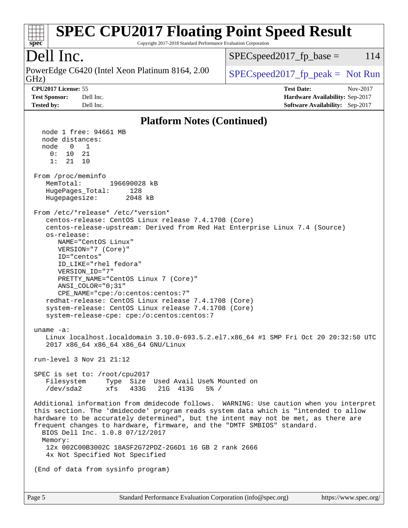### **[spec](http://www.spec.org/) [SPEC CPU2017 Floating Point Speed Result](http://www.spec.org/auto/cpu2017/Docs/result-fields.html#SPECCPU2017FloatingPointSpeedResult)** Copyright 2017-2018 Standard Performance Evaluation Corporation Dell Inc. GHz) PowerEdge C6420 (Intel Xeon Platinum 8164, 2.00  $\big|$  [SPECspeed2017\\_fp\\_peak =](http://www.spec.org/auto/cpu2017/Docs/result-fields.html#SPECspeed2017fppeak) Not Run  $SPEC speed2017<sub>fp</sub> base =  $114$$ **[CPU2017 License:](http://www.spec.org/auto/cpu2017/Docs/result-fields.html#CPU2017License)** 55 **[Test Date:](http://www.spec.org/auto/cpu2017/Docs/result-fields.html#TestDate)** Nov-2017 **[Test Sponsor:](http://www.spec.org/auto/cpu2017/Docs/result-fields.html#TestSponsor)** Dell Inc. **[Hardware Availability:](http://www.spec.org/auto/cpu2017/Docs/result-fields.html#HardwareAvailability)** Sep-2017 **[Tested by:](http://www.spec.org/auto/cpu2017/Docs/result-fields.html#Testedby)** Dell Inc. **[Software Availability:](http://www.spec.org/auto/cpu2017/Docs/result-fields.html#SoftwareAvailability)** Sep-2017 **[Platform Notes \(Continued\)](http://www.spec.org/auto/cpu2017/Docs/result-fields.html#PlatformNotes)** node 1 free: 94661 MB node distances: node 0 1  $0: 10 21$  1: 21 10 From /proc/meminfo MemTotal: 196690028 kB HugePages\_Total: 128 Hugepagesize: 2048 kB From /etc/\*release\* /etc/\*version\* centos-release: CentOS Linux release 7.4.1708 (Core) centos-release-upstream: Derived from Red Hat Enterprise Linux 7.4 (Source) os-release: NAME="CentOS Linux" VERSION="7 (Core)" ID="centos" ID\_LIKE="rhel fedora" VERSION\_ID="7" PRETTY\_NAME="CentOS Linux 7 (Core)" ANSI\_COLOR="0;31" CPE\_NAME="cpe:/o:centos:centos:7" redhat-release: CentOS Linux release 7.4.1708 (Core) system-release: CentOS Linux release 7.4.1708 (Core) system-release-cpe: cpe:/o:centos:centos:7 uname -a: Linux localhost.localdomain 3.10.0-693.5.2.el7.x86\_64 #1 SMP Fri Oct 20 20:32:50 UTC 2017 x86\_64 x86\_64 x86\_64 GNU/Linux run-level 3 Nov 21 21:12 SPEC is set to: /root/cpu2017 Filesystem Type Size Used Avail Use% Mounted on /dev/sda2 xfs 433G 21G 413G 5% / Additional information from dmidecode follows. WARNING: Use caution when you interpret this section. The 'dmidecode' program reads system data which is "intended to allow hardware to be accurately determined", but the intent may not be met, as there are frequent changes to hardware, firmware, and the "DMTF SMBIOS" standard. BIOS Dell Inc. 1.0.8 07/12/2017 Memory: 12x 002C00B3002C 18ASF2G72PDZ-2G6D1 16 GB 2 rank 2666 4x Not Specified Not Specified (End of data from sysinfo program)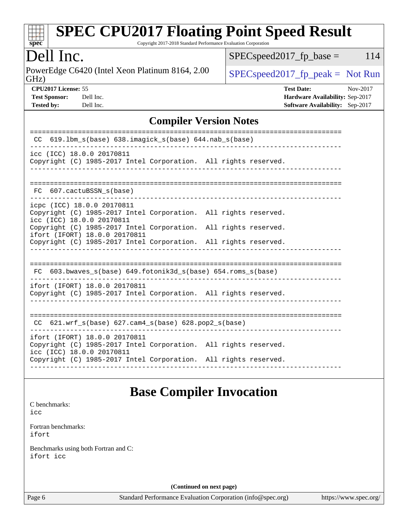

Copyright 2017-2018 Standard Performance Evaluation Corporation

## Dell Inc.

GHz) PowerEdge C6420 (Intel Xeon Platinum 8164, 2.00  $SPECspeed2017_fp\_peak = Not Run$ 

 $SPECspeed2017_fp\_base = 114$ 

| ---- |                      |  |
|------|----------------------|--|
|      | <b>CPU2017 Licer</b> |  |

**[Tested by:](http://www.spec.org/auto/cpu2017/Docs/result-fields.html#Testedby)** Dell Inc. **[Software Availability:](http://www.spec.org/auto/cpu2017/Docs/result-fields.html#SoftwareAvailability)** Sep-2017

**[CPU2017 License:](http://www.spec.org/auto/cpu2017/Docs/result-fields.html#CPU2017License)** 55 **[Test Date:](http://www.spec.org/auto/cpu2017/Docs/result-fields.html#TestDate)** Nov-2017 **[Test Sponsor:](http://www.spec.org/auto/cpu2017/Docs/result-fields.html#TestSponsor)** Dell Inc. **[Hardware Availability:](http://www.spec.org/auto/cpu2017/Docs/result-fields.html#HardwareAvailability)** Sep-2017

### **[Compiler Version Notes](http://www.spec.org/auto/cpu2017/Docs/result-fields.html#CompilerVersionNotes)**

| $619.1$ bm_s(base) $638.imagick_s(base)$ $644.nab_s(base)$<br>CC                                                                                                                                                                                                                                  |  |  |  |  |  |
|---------------------------------------------------------------------------------------------------------------------------------------------------------------------------------------------------------------------------------------------------------------------------------------------------|--|--|--|--|--|
| icc (ICC) 18.0.0 20170811<br>Copyright (C) 1985-2017 Intel Corporation. All rights reserved.                                                                                                                                                                                                      |  |  |  |  |  |
| FC 607. cactuBSSN s(base)                                                                                                                                                                                                                                                                         |  |  |  |  |  |
| icpc (ICC) 18.0.0 20170811<br>Copyright (C) 1985-2017 Intel Corporation. All rights reserved.<br>icc (ICC) 18.0.0 20170811<br>Copyright (C) 1985-2017 Intel Corporation. All rights reserved.<br>ifort (IFORT) 18.0.0 20170811<br>Copyright (C) 1985-2017 Intel Corporation. All rights reserved. |  |  |  |  |  |
| FC 603.bwaves_s(base) 649.fotonik3d_s(base) 654.roms_s(base)                                                                                                                                                                                                                                      |  |  |  |  |  |
| ifort (IFORT) 18.0.0 20170811<br>Copyright (C) 1985-2017 Intel Corporation. All rights reserved.                                                                                                                                                                                                  |  |  |  |  |  |
| ----------------------------------<br>CC 621.wrf_s(base) 627.cam4_s(base) 628.pop2_s(base)                                                                                                                                                                                                        |  |  |  |  |  |
| ifort (IFORT) 18.0.0 20170811<br>Copyright (C) 1985-2017 Intel Corporation. All rights reserved.<br>icc (ICC) 18.0.0 20170811<br>Copyright (C) 1985-2017 Intel Corporation. All rights reserved.                                                                                                  |  |  |  |  |  |
|                                                                                                                                                                                                                                                                                                   |  |  |  |  |  |

## **[Base Compiler Invocation](http://www.spec.org/auto/cpu2017/Docs/result-fields.html#BaseCompilerInvocation)**

[C benchmarks](http://www.spec.org/auto/cpu2017/Docs/result-fields.html#Cbenchmarks): [icc](http://www.spec.org/cpu2017/results/res2018q1/cpu2017-20180122-02782.flags.html#user_CCbase_intel_icc_18.0_66fc1ee009f7361af1fbd72ca7dcefbb700085f36577c54f309893dd4ec40d12360134090235512931783d35fd58c0460139e722d5067c5574d8eaf2b3e37e92)

[Fortran benchmarks](http://www.spec.org/auto/cpu2017/Docs/result-fields.html#Fortranbenchmarks): [ifort](http://www.spec.org/cpu2017/results/res2018q1/cpu2017-20180122-02782.flags.html#user_FCbase_intel_ifort_18.0_8111460550e3ca792625aed983ce982f94888b8b503583aa7ba2b8303487b4d8a21a13e7191a45c5fd58ff318f48f9492884d4413fa793fd88dd292cad7027ca)

[Benchmarks using both Fortran and C](http://www.spec.org/auto/cpu2017/Docs/result-fields.html#BenchmarksusingbothFortranandC): [ifort](http://www.spec.org/cpu2017/results/res2018q1/cpu2017-20180122-02782.flags.html#user_CC_FCbase_intel_ifort_18.0_8111460550e3ca792625aed983ce982f94888b8b503583aa7ba2b8303487b4d8a21a13e7191a45c5fd58ff318f48f9492884d4413fa793fd88dd292cad7027ca) [icc](http://www.spec.org/cpu2017/results/res2018q1/cpu2017-20180122-02782.flags.html#user_CC_FCbase_intel_icc_18.0_66fc1ee009f7361af1fbd72ca7dcefbb700085f36577c54f309893dd4ec40d12360134090235512931783d35fd58c0460139e722d5067c5574d8eaf2b3e37e92)

**(Continued on next page)**

Page 6 Standard Performance Evaluation Corporation [\(info@spec.org\)](mailto:info@spec.org) <https://www.spec.org/>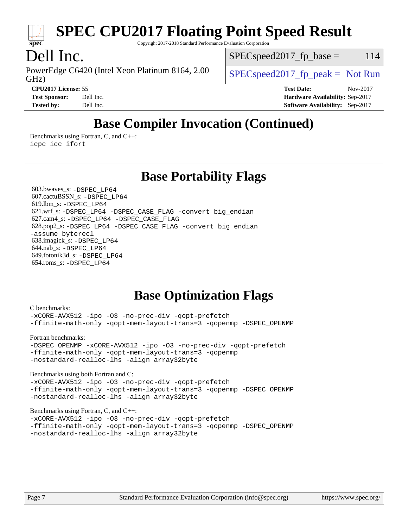

Copyright 2017-2018 Standard Performance Evaluation Corporation

## Dell Inc.

GHz) PowerEdge C6420 (Intel Xeon Platinum 8164, 2.00  $\big|$  [SPECspeed2017\\_fp\\_peak =](http://www.spec.org/auto/cpu2017/Docs/result-fields.html#SPECspeed2017fppeak) Not Run

 $SPEC speed2017_fp\_base = 114$ 

**[CPU2017 License:](http://www.spec.org/auto/cpu2017/Docs/result-fields.html#CPU2017License)** 55 **[Test Date:](http://www.spec.org/auto/cpu2017/Docs/result-fields.html#TestDate)** Nov-2017 **[Test Sponsor:](http://www.spec.org/auto/cpu2017/Docs/result-fields.html#TestSponsor)** Dell Inc. **[Hardware Availability:](http://www.spec.org/auto/cpu2017/Docs/result-fields.html#HardwareAvailability)** Sep-2017 **[Tested by:](http://www.spec.org/auto/cpu2017/Docs/result-fields.html#Testedby)** Dell Inc. **[Software Availability:](http://www.spec.org/auto/cpu2017/Docs/result-fields.html#SoftwareAvailability)** Sep-2017

## **[Base Compiler Invocation \(Continued\)](http://www.spec.org/auto/cpu2017/Docs/result-fields.html#BaseCompilerInvocation)**

[Benchmarks using Fortran, C, and C++:](http://www.spec.org/auto/cpu2017/Docs/result-fields.html#BenchmarksusingFortranCandCXX) [icpc](http://www.spec.org/cpu2017/results/res2018q1/cpu2017-20180122-02782.flags.html#user_CC_CXX_FCbase_intel_icpc_18.0_c510b6838c7f56d33e37e94d029a35b4a7bccf4766a728ee175e80a419847e808290a9b78be685c44ab727ea267ec2f070ec5dc83b407c0218cded6866a35d07) [icc](http://www.spec.org/cpu2017/results/res2018q1/cpu2017-20180122-02782.flags.html#user_CC_CXX_FCbase_intel_icc_18.0_66fc1ee009f7361af1fbd72ca7dcefbb700085f36577c54f309893dd4ec40d12360134090235512931783d35fd58c0460139e722d5067c5574d8eaf2b3e37e92) [ifort](http://www.spec.org/cpu2017/results/res2018q1/cpu2017-20180122-02782.flags.html#user_CC_CXX_FCbase_intel_ifort_18.0_8111460550e3ca792625aed983ce982f94888b8b503583aa7ba2b8303487b4d8a21a13e7191a45c5fd58ff318f48f9492884d4413fa793fd88dd292cad7027ca)

## **[Base Portability Flags](http://www.spec.org/auto/cpu2017/Docs/result-fields.html#BasePortabilityFlags)**

 603.bwaves\_s: [-DSPEC\\_LP64](http://www.spec.org/cpu2017/results/res2018q1/cpu2017-20180122-02782.flags.html#suite_basePORTABILITY603_bwaves_s_DSPEC_LP64) 607.cactuBSSN\_s: [-DSPEC\\_LP64](http://www.spec.org/cpu2017/results/res2018q1/cpu2017-20180122-02782.flags.html#suite_basePORTABILITY607_cactuBSSN_s_DSPEC_LP64) 619.lbm\_s: [-DSPEC\\_LP64](http://www.spec.org/cpu2017/results/res2018q1/cpu2017-20180122-02782.flags.html#suite_basePORTABILITY619_lbm_s_DSPEC_LP64) 621.wrf\_s: [-DSPEC\\_LP64](http://www.spec.org/cpu2017/results/res2018q1/cpu2017-20180122-02782.flags.html#suite_basePORTABILITY621_wrf_s_DSPEC_LP64) [-DSPEC\\_CASE\\_FLAG](http://www.spec.org/cpu2017/results/res2018q1/cpu2017-20180122-02782.flags.html#b621.wrf_s_baseCPORTABILITY_DSPEC_CASE_FLAG) [-convert big\\_endian](http://www.spec.org/cpu2017/results/res2018q1/cpu2017-20180122-02782.flags.html#user_baseFPORTABILITY621_wrf_s_convert_big_endian_c3194028bc08c63ac5d04de18c48ce6d347e4e562e8892b8bdbdc0214820426deb8554edfa529a3fb25a586e65a3d812c835984020483e7e73212c4d31a38223) 627.cam4\_s: [-DSPEC\\_LP64](http://www.spec.org/cpu2017/results/res2018q1/cpu2017-20180122-02782.flags.html#suite_basePORTABILITY627_cam4_s_DSPEC_LP64) [-DSPEC\\_CASE\\_FLAG](http://www.spec.org/cpu2017/results/res2018q1/cpu2017-20180122-02782.flags.html#b627.cam4_s_baseCPORTABILITY_DSPEC_CASE_FLAG) 628.pop2\_s: [-DSPEC\\_LP64](http://www.spec.org/cpu2017/results/res2018q1/cpu2017-20180122-02782.flags.html#suite_basePORTABILITY628_pop2_s_DSPEC_LP64) [-DSPEC\\_CASE\\_FLAG](http://www.spec.org/cpu2017/results/res2018q1/cpu2017-20180122-02782.flags.html#b628.pop2_s_baseCPORTABILITY_DSPEC_CASE_FLAG) [-convert big\\_endian](http://www.spec.org/cpu2017/results/res2018q1/cpu2017-20180122-02782.flags.html#user_baseFPORTABILITY628_pop2_s_convert_big_endian_c3194028bc08c63ac5d04de18c48ce6d347e4e562e8892b8bdbdc0214820426deb8554edfa529a3fb25a586e65a3d812c835984020483e7e73212c4d31a38223) [-assume byterecl](http://www.spec.org/cpu2017/results/res2018q1/cpu2017-20180122-02782.flags.html#user_baseFPORTABILITY628_pop2_s_assume_byterecl_7e47d18b9513cf18525430bbf0f2177aa9bf368bc7a059c09b2c06a34b53bd3447c950d3f8d6c70e3faf3a05c8557d66a5798b567902e8849adc142926523472) 638.imagick\_s: [-DSPEC\\_LP64](http://www.spec.org/cpu2017/results/res2018q1/cpu2017-20180122-02782.flags.html#suite_basePORTABILITY638_imagick_s_DSPEC_LP64) 644.nab\_s: [-DSPEC\\_LP64](http://www.spec.org/cpu2017/results/res2018q1/cpu2017-20180122-02782.flags.html#suite_basePORTABILITY644_nab_s_DSPEC_LP64) 649.fotonik3d\_s: [-DSPEC\\_LP64](http://www.spec.org/cpu2017/results/res2018q1/cpu2017-20180122-02782.flags.html#suite_basePORTABILITY649_fotonik3d_s_DSPEC_LP64) 654.roms\_s: [-DSPEC\\_LP64](http://www.spec.org/cpu2017/results/res2018q1/cpu2017-20180122-02782.flags.html#suite_basePORTABILITY654_roms_s_DSPEC_LP64)

## **[Base Optimization Flags](http://www.spec.org/auto/cpu2017/Docs/result-fields.html#BaseOptimizationFlags)**

[C benchmarks](http://www.spec.org/auto/cpu2017/Docs/result-fields.html#Cbenchmarks): [-xCORE-AVX512](http://www.spec.org/cpu2017/results/res2018q1/cpu2017-20180122-02782.flags.html#user_CCbase_f-xCORE-AVX512) [-ipo](http://www.spec.org/cpu2017/results/res2018q1/cpu2017-20180122-02782.flags.html#user_CCbase_f-ipo) -03 [-no-prec-div](http://www.spec.org/cpu2017/results/res2018q1/cpu2017-20180122-02782.flags.html#user_CCbase_f-no-prec-div) [-qopt-prefetch](http://www.spec.org/cpu2017/results/res2018q1/cpu2017-20180122-02782.flags.html#user_CCbase_f-qopt-prefetch) [-ffinite-math-only](http://www.spec.org/cpu2017/results/res2018q1/cpu2017-20180122-02782.flags.html#user_CCbase_f_finite_math_only_cb91587bd2077682c4b38af759c288ed7c732db004271a9512da14a4f8007909a5f1427ecbf1a0fb78ff2a814402c6114ac565ca162485bbcae155b5e4258871) [-qopt-mem-layout-trans=3](http://www.spec.org/cpu2017/results/res2018q1/cpu2017-20180122-02782.flags.html#user_CCbase_f-qopt-mem-layout-trans_de80db37974c74b1f0e20d883f0b675c88c3b01e9d123adea9b28688d64333345fb62bc4a798493513fdb68f60282f9a726aa07f478b2f7113531aecce732043) [-qopenmp](http://www.spec.org/cpu2017/results/res2018q1/cpu2017-20180122-02782.flags.html#user_CCbase_qopenmp_16be0c44f24f464004c6784a7acb94aca937f053568ce72f94b139a11c7c168634a55f6653758ddd83bcf7b8463e8028bb0b48b77bcddc6b78d5d95bb1df2967) [-DSPEC\\_OPENMP](http://www.spec.org/cpu2017/results/res2018q1/cpu2017-20180122-02782.flags.html#suite_CCbase_DSPEC_OPENMP)

[Fortran benchmarks](http://www.spec.org/auto/cpu2017/Docs/result-fields.html#Fortranbenchmarks):

[-DSPEC\\_OPENMP](http://www.spec.org/cpu2017/results/res2018q1/cpu2017-20180122-02782.flags.html#suite_FCbase_DSPEC_OPENMP) [-xCORE-AVX512](http://www.spec.org/cpu2017/results/res2018q1/cpu2017-20180122-02782.flags.html#user_FCbase_f-xCORE-AVX512) [-ipo](http://www.spec.org/cpu2017/results/res2018q1/cpu2017-20180122-02782.flags.html#user_FCbase_f-ipo) [-O3](http://www.spec.org/cpu2017/results/res2018q1/cpu2017-20180122-02782.flags.html#user_FCbase_f-O3) [-no-prec-div](http://www.spec.org/cpu2017/results/res2018q1/cpu2017-20180122-02782.flags.html#user_FCbase_f-no-prec-div) [-qopt-prefetch](http://www.spec.org/cpu2017/results/res2018q1/cpu2017-20180122-02782.flags.html#user_FCbase_f-qopt-prefetch) [-ffinite-math-only](http://www.spec.org/cpu2017/results/res2018q1/cpu2017-20180122-02782.flags.html#user_FCbase_f_finite_math_only_cb91587bd2077682c4b38af759c288ed7c732db004271a9512da14a4f8007909a5f1427ecbf1a0fb78ff2a814402c6114ac565ca162485bbcae155b5e4258871) [-qopt-mem-layout-trans=3](http://www.spec.org/cpu2017/results/res2018q1/cpu2017-20180122-02782.flags.html#user_FCbase_f-qopt-mem-layout-trans_de80db37974c74b1f0e20d883f0b675c88c3b01e9d123adea9b28688d64333345fb62bc4a798493513fdb68f60282f9a726aa07f478b2f7113531aecce732043) [-qopenmp](http://www.spec.org/cpu2017/results/res2018q1/cpu2017-20180122-02782.flags.html#user_FCbase_qopenmp_16be0c44f24f464004c6784a7acb94aca937f053568ce72f94b139a11c7c168634a55f6653758ddd83bcf7b8463e8028bb0b48b77bcddc6b78d5d95bb1df2967) [-nostandard-realloc-lhs](http://www.spec.org/cpu2017/results/res2018q1/cpu2017-20180122-02782.flags.html#user_FCbase_f_2003_std_realloc_82b4557e90729c0f113870c07e44d33d6f5a304b4f63d4c15d2d0f1fab99f5daaed73bdb9275d9ae411527f28b936061aa8b9c8f2d63842963b95c9dd6426b8a) [-align array32byte](http://www.spec.org/cpu2017/results/res2018q1/cpu2017-20180122-02782.flags.html#user_FCbase_align_array32byte_b982fe038af199962ba9a80c053b8342c548c85b40b8e86eb3cc33dee0d7986a4af373ac2d51c3f7cf710a18d62fdce2948f201cd044323541f22fc0fffc51b6)

[Benchmarks using both Fortran and C](http://www.spec.org/auto/cpu2017/Docs/result-fields.html#BenchmarksusingbothFortranandC): [-xCORE-AVX512](http://www.spec.org/cpu2017/results/res2018q1/cpu2017-20180122-02782.flags.html#user_CC_FCbase_f-xCORE-AVX512) [-ipo](http://www.spec.org/cpu2017/results/res2018q1/cpu2017-20180122-02782.flags.html#user_CC_FCbase_f-ipo) [-O3](http://www.spec.org/cpu2017/results/res2018q1/cpu2017-20180122-02782.flags.html#user_CC_FCbase_f-O3) [-no-prec-div](http://www.spec.org/cpu2017/results/res2018q1/cpu2017-20180122-02782.flags.html#user_CC_FCbase_f-no-prec-div) [-qopt-prefetch](http://www.spec.org/cpu2017/results/res2018q1/cpu2017-20180122-02782.flags.html#user_CC_FCbase_f-qopt-prefetch) [-ffinite-math-only](http://www.spec.org/cpu2017/results/res2018q1/cpu2017-20180122-02782.flags.html#user_CC_FCbase_f_finite_math_only_cb91587bd2077682c4b38af759c288ed7c732db004271a9512da14a4f8007909a5f1427ecbf1a0fb78ff2a814402c6114ac565ca162485bbcae155b5e4258871) [-qopt-mem-layout-trans=3](http://www.spec.org/cpu2017/results/res2018q1/cpu2017-20180122-02782.flags.html#user_CC_FCbase_f-qopt-mem-layout-trans_de80db37974c74b1f0e20d883f0b675c88c3b01e9d123adea9b28688d64333345fb62bc4a798493513fdb68f60282f9a726aa07f478b2f7113531aecce732043) [-qopenmp](http://www.spec.org/cpu2017/results/res2018q1/cpu2017-20180122-02782.flags.html#user_CC_FCbase_qopenmp_16be0c44f24f464004c6784a7acb94aca937f053568ce72f94b139a11c7c168634a55f6653758ddd83bcf7b8463e8028bb0b48b77bcddc6b78d5d95bb1df2967) [-DSPEC\\_OPENMP](http://www.spec.org/cpu2017/results/res2018q1/cpu2017-20180122-02782.flags.html#suite_CC_FCbase_DSPEC_OPENMP) [-nostandard-realloc-lhs](http://www.spec.org/cpu2017/results/res2018q1/cpu2017-20180122-02782.flags.html#user_CC_FCbase_f_2003_std_realloc_82b4557e90729c0f113870c07e44d33d6f5a304b4f63d4c15d2d0f1fab99f5daaed73bdb9275d9ae411527f28b936061aa8b9c8f2d63842963b95c9dd6426b8a) [-align array32byte](http://www.spec.org/cpu2017/results/res2018q1/cpu2017-20180122-02782.flags.html#user_CC_FCbase_align_array32byte_b982fe038af199962ba9a80c053b8342c548c85b40b8e86eb3cc33dee0d7986a4af373ac2d51c3f7cf710a18d62fdce2948f201cd044323541f22fc0fffc51b6)

[Benchmarks using Fortran, C, and C++:](http://www.spec.org/auto/cpu2017/Docs/result-fields.html#BenchmarksusingFortranCandCXX)

```
-xCORE-AVX512 -ipo -O3 -no-prec-div -qopt-prefetch
-ffinite-math-only -qopt-mem-layout-trans=3 -qopenmp -DSPEC_OPENMP
-nostandard-realloc-lhs -align array32byte
```